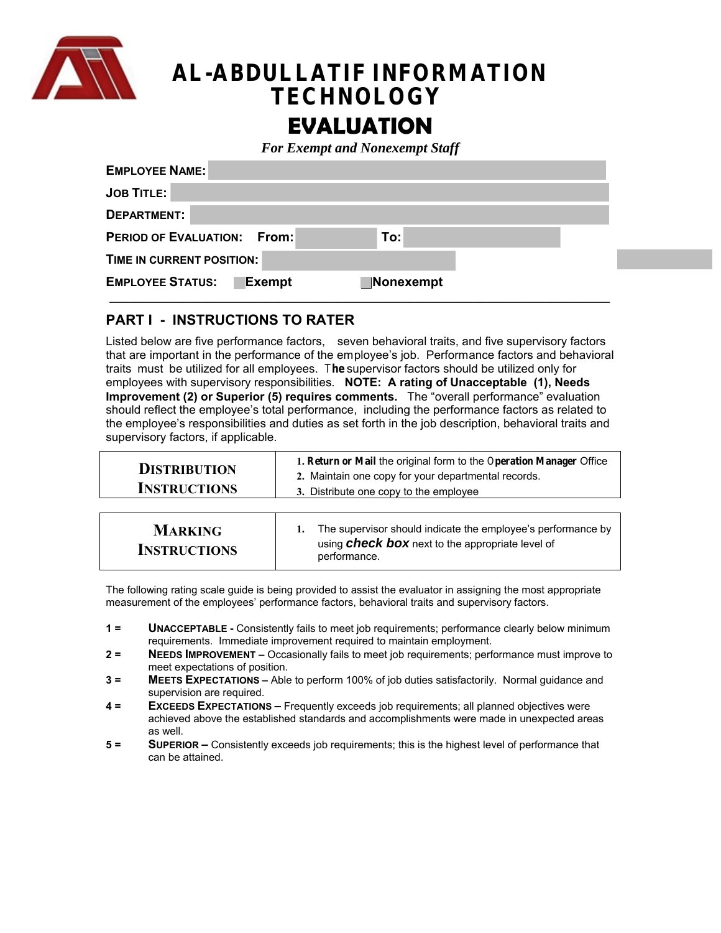

# **AL-ABDULLATIF INFORMATION TECHNOLOGY**

# **EVALUATION**

*For Exempt and Nonexempt Staff* 

| <b>EMPLOYEE NAME:</b>                                 |  |
|-------------------------------------------------------|--|
| <b>JOB TITLE:</b>                                     |  |
| DEPARTMENT:                                           |  |
| <b>PERIOD OF EVALUATION: From:</b><br>To:             |  |
| TIME IN CURRENT POSITION:                             |  |
| <b>EMPLOYEE STATUS:</b><br><b>Exempt</b><br>Nonexempt |  |
|                                                       |  |

# **PART I - INSTRUCTIONS TO RATER**

Listed below are five performance factors, seven behavioral traits, and five supervisory factors that are important in the performance of the employee's job. Performance factors and behavioral traits must be utilized for all employees. T**he** supervisor factors should be utilized only for employees with supervisory responsibilities. **NOTE: A rating of Unacceptable (1), Needs Improvement (2) or Superior (5) requires comments.** The "overall performance" evaluation should reflect the employee's total performance, including the performance factors as related to the employee's responsibilities and duties as set forth in the job description, behavioral traits and supervisory factors, if applicable.

| <b>DISTRIBUTION</b> | 1. Return or Mail the original form to the Operation Manager Office<br>2. Maintain one copy for your departmental records. |
|---------------------|----------------------------------------------------------------------------------------------------------------------------|
| <b>INSTRUCTIONS</b> | 3. Distribute one copy to the employee                                                                                     |
|                     |                                                                                                                            |

The following rating scale guide is being provided to assist the evaluator in assigning the most appropriate measurement of the employees' performance factors, behavioral traits and supervisory factors.

- **1 = UNACCEPTABLE** Consistently fails to meet job requirements; performance clearly below minimum requirements. Immediate improvement required to maintain employment.
- **2 = NEEDS IMPROVEMENT** Occasionally fails to meet job requirements; performance must improve to meet expectations of position.
- **3 = MEETS EXPECTATIONS** Able to perform 100% of job duties satisfactorily. Normal guidance and supervision are required.
- **4 = EXCEEDS EXPECTATIONS –** Frequently exceeds job requirements; all planned objectives were achieved above the established standards and accomplishments were made in unexpected areas as well.
- **5 = SUPERIOR –** Consistently exceeds job requirements; this is the highest level of performance that can be attained.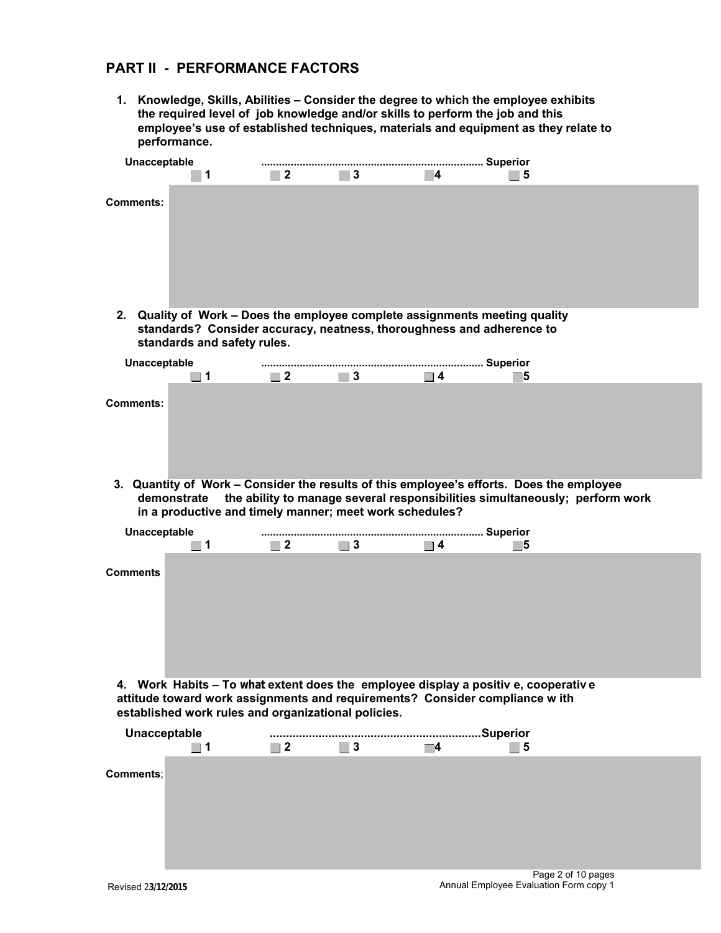# **PART II - PERFORMANCE FACTORS**

**1. Knowledge, Skills, Abilities – Consider the degree to which the employee exhibits the required level of job knowledge and/or skills to perform the job and this employee's use of established techniques, materials and equipment as they relate to performance.** 

| Unacceptable    | 1                                                                                                                                                                                   | $\blacksquare$ 2 | $\blacksquare$ 3 | Ι4.      | - 15                                                                                                                                                                    |  |
|-----------------|-------------------------------------------------------------------------------------------------------------------------------------------------------------------------------------|------------------|------------------|----------|-------------------------------------------------------------------------------------------------------------------------------------------------------------------------|--|
| Comments:       |                                                                                                                                                                                     |                  |                  |          |                                                                                                                                                                         |  |
|                 | 2. Quality of Work - Does the employee complete assignments meeting quality<br>standards? Consider accuracy, neatness, thoroughness and adherence to<br>standards and safety rules. |                  |                  |          |                                                                                                                                                                         |  |
| Unacceptable    | $\Box$ 1                                                                                                                                                                            | $\blacksquare$ 2 | $\blacksquare$ 3 | $\Box$ 4 | 15                                                                                                                                                                      |  |
| Comments:       |                                                                                                                                                                                     |                  |                  |          |                                                                                                                                                                         |  |
|                 | demonstrate<br>in a productive and timely manner; meet work schedules?                                                                                                              |                  |                  |          | 3. Quantity of Work - Consider the results of this employee's efforts. Does the employee<br>the ability to manage several responsibilities simultaneously; perform work |  |
|                 |                                                                                                                                                                                     |                  |                  |          |                                                                                                                                                                         |  |
| Unacceptable    | $\Box$ 1                                                                                                                                                                            | $\blacksquare$ 2 | $\blacksquare$ 3 | $\Box$ 4 | 5                                                                                                                                                                       |  |
| <b>Comments</b> |                                                                                                                                                                                     |                  |                  |          |                                                                                                                                                                         |  |
|                 | attitude toward work assignments and requirements? Consider compliance w ith<br>established work rules and organizational policies.                                                 |                  |                  |          | 4. Work Habits – To what extent does the employee display a positive, cooperative                                                                                       |  |
| Unacceptable    | $\Box$ 1                                                                                                                                                                            | $\blacksquare$ 2 | $\blacksquare$ 3 | ▔4       | Superior<br>$\blacksquare$ 5                                                                                                                                            |  |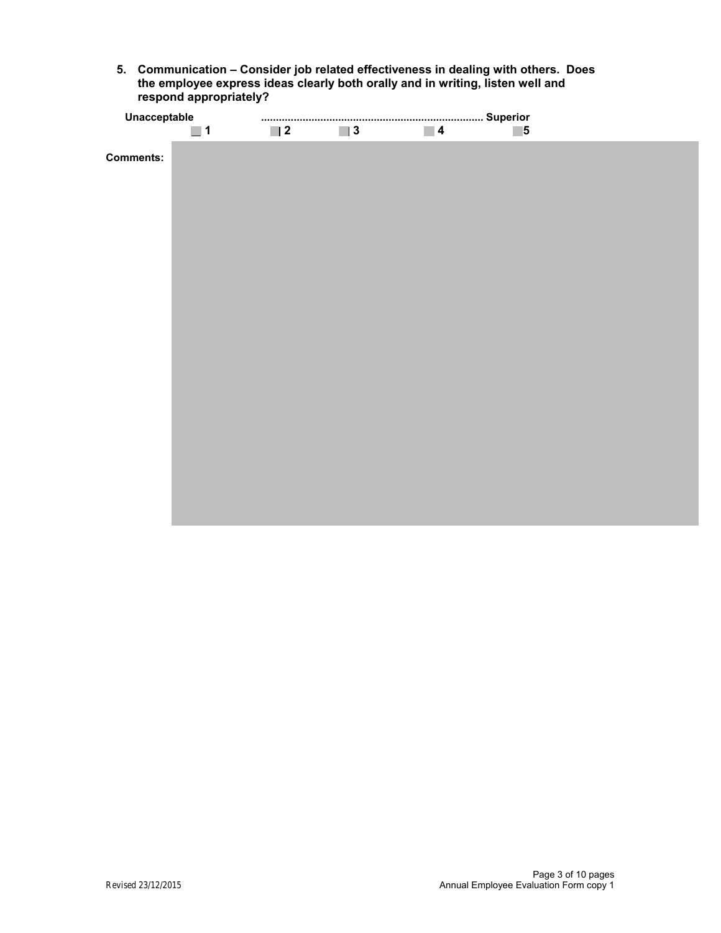**5. Communication – Consider job related effectiveness in dealing with others. Does the employee express ideas clearly both orally and in writing, listen well and respond appropriately?** 

| Unacceptable     |          |                  |          |                  |   |  |
|------------------|----------|------------------|----------|------------------|---|--|
|                  | $\Box$ 1 | $\blacksquare$ 2 | $\Box$ 3 | $\blacksquare$ 4 | 5 |  |
| <b>Comments:</b> |          |                  |          |                  |   |  |
|                  |          |                  |          |                  |   |  |
|                  |          |                  |          |                  |   |  |
|                  |          |                  |          |                  |   |  |
|                  |          |                  |          |                  |   |  |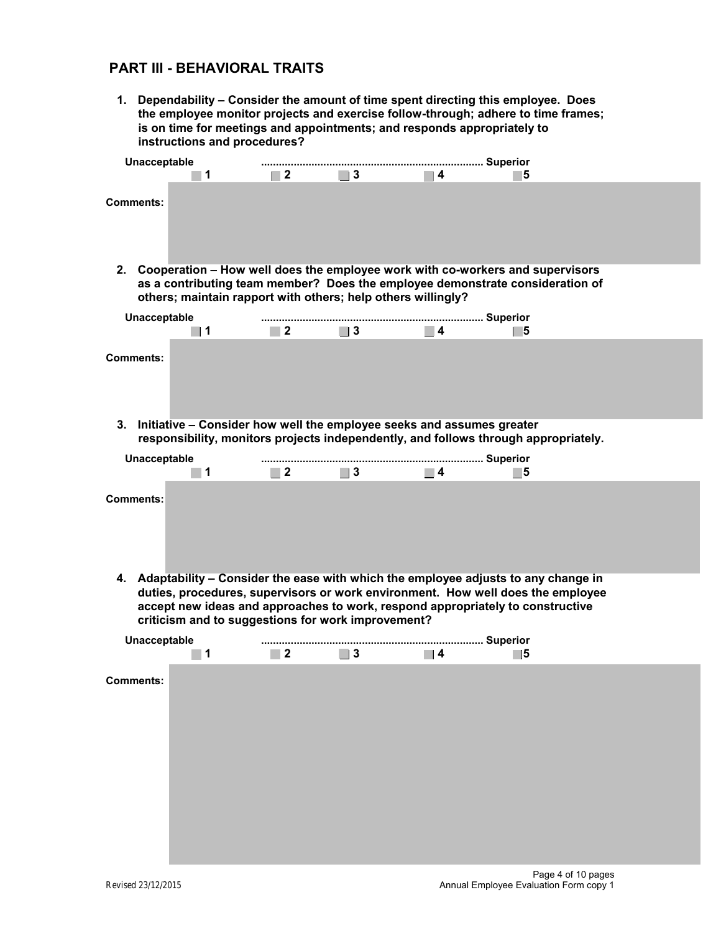### **PART III - BEHAVIORAL TRAITS**

**1. Dependability – Consider the amount of time spent directing this employee. Does the employee monitor projects and exercise follow-through; adhere to time frames; is on time for meetings and appointments; and responds appropriately to instructions and procedures?** 

| Unacceptable | 1                                                            | $\Box$ 2         | $\blacksquare$ 3 | $\blacksquare$ 4                                                                                                                                               | 15 |  |
|--------------|--------------------------------------------------------------|------------------|------------------|----------------------------------------------------------------------------------------------------------------------------------------------------------------|----|--|
| Comments:    |                                                              |                  |                  |                                                                                                                                                                |    |  |
| 2.           | others; maintain rapport with others; help others willingly? |                  |                  | Cooperation – How well does the employee work with co-workers and supervisors<br>as a contributing team member? Does the employee demonstrate consideration of |    |  |
| Unacceptable | l 1                                                          | $\blacksquare$ 2 | $\Box$ 3         | $\blacksquare$                                                                                                                                                 | 5  |  |
| Comments:    |                                                              |                  |                  |                                                                                                                                                                |    |  |
| 3.           |                                                              |                  |                  | Initiative – Consider how well the employee seeks and assumes greater<br>responsibility, monitors projects independently, and follows through appropriately.   |    |  |
| Unacceptable | 1                                                            | $\Box$ 2         | $\blacksquare$ 3 | $\blacksquare$ 4                                                                                                                                               | 15 |  |
| Comments:    |                                                              |                  |                  |                                                                                                                                                                |    |  |

**4. Adaptability – Consider the ease with which the employee adjusts to any change in duties, procedures, supervisors or work environment. How well does the employee accept new ideas and approaches to work, respond appropriately to constructive criticism and to suggestions for work improvement?** 

| Unacceptable     |                  |          |          |          |                  |  |
|------------------|------------------|----------|----------|----------|------------------|--|
|                  | $\blacksquare$ 1 | $\Box$ 2 | $\Box$ 3 | $\Box$ 4 | $\blacksquare$ 5 |  |
| <b>Comments:</b> |                  |          |          |          |                  |  |
|                  |                  |          |          |          |                  |  |
|                  |                  |          |          |          |                  |  |
|                  |                  |          |          |          |                  |  |
|                  |                  |          |          |          |                  |  |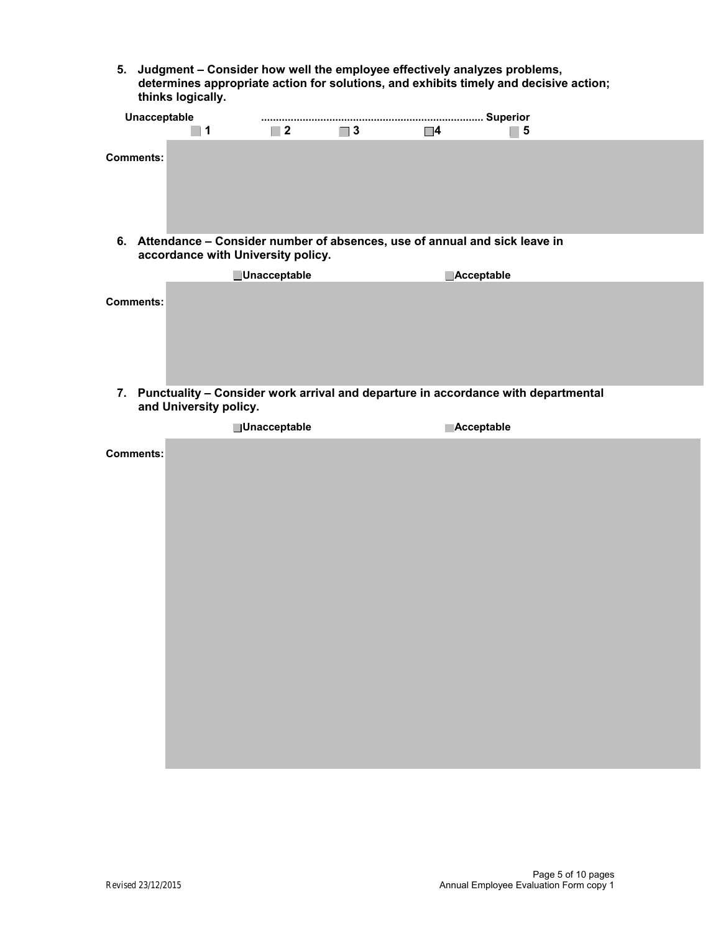**5. Judgment – Consider how well the employee effectively analyzes problems, determines appropriate action for solutions, and exhibits timely and decisive action; thinks logically.** 

|                  | Unacceptable                                                                                                       |                     |   |            |   |
|------------------|--------------------------------------------------------------------------------------------------------------------|---------------------|---|------------|---|
|                  | 1                                                                                                                  | $\blacksquare$ 2    | 3 | $\Box$ 4   | 5 |
| Comments:        |                                                                                                                    |                     |   |            |   |
|                  | 6. Attendance – Consider number of absences, use of annual and sick leave in<br>accordance with University policy. |                     |   |            |   |
|                  |                                                                                                                    | <b>Unacceptable</b> |   | Acceptable |   |
| <b>Comments:</b> |                                                                                                                    |                     |   |            |   |
|                  | 7. Punctuality - Consider work arrival and departure in accordance with departmental<br>and University policy.     |                     |   |            |   |
|                  |                                                                                                                    | <b>Unacceptable</b> |   | Acceptable |   |
| <b>Comments:</b> |                                                                                                                    |                     |   |            |   |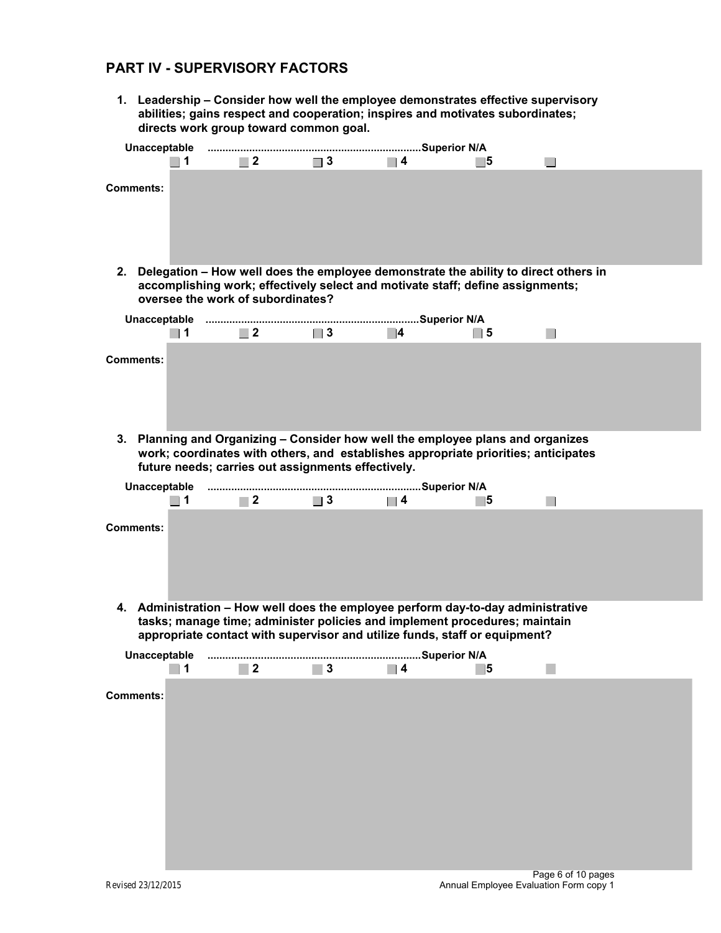# **PART IV - SUPERVISORY FACTORS**

**1. Leadership – Consider how well the employee demonstrates effective supervisory abilities; gains respect and cooperation; inspires and motivates subordinates; directs work group toward common goal.** 

|                  | 1                | $\blacksquare$ 2                  | $\Box$ 3                                           | $\blacksquare$ 4                                                                                                                                                                                                                             | 5        |  |
|------------------|------------------|-----------------------------------|----------------------------------------------------|----------------------------------------------------------------------------------------------------------------------------------------------------------------------------------------------------------------------------------------------|----------|--|
| <b>Comments:</b> |                  |                                   |                                                    |                                                                                                                                                                                                                                              |          |  |
|                  |                  | oversee the work of subordinates? |                                                    | 2. Delegation - How well does the employee demonstrate the ability to direct others in<br>accomplishing work; effectively select and motivate staff; define assignments;                                                                     |          |  |
|                  | $\blacksquare$   | $\Box$ 2                          | $\vert$ 3                                          | 4                                                                                                                                                                                                                                            | 5        |  |
| <b>Comments:</b> |                  |                                   |                                                    |                                                                                                                                                                                                                                              |          |  |
|                  |                  |                                   | future needs; carries out assignments effectively. | 3. Planning and Organizing - Consider how well the employee plans and organizes<br>work; coordinates with others, and establishes appropriate priorities; anticipates                                                                        |          |  |
|                  | $\blacksquare$ 1 | $\Box$ 2                          | $\Box$ 3                                           | $\Box$ 4                                                                                                                                                                                                                                     | 5        |  |
| <b>Comments:</b> |                  |                                   |                                                    |                                                                                                                                                                                                                                              |          |  |
|                  |                  |                                   |                                                    | 4. Administration - How well does the employee perform day-to-day administrative<br>tasks; manage time; administer policies and implement procedures; maintain<br>appropriate contact with supervisor and utilize funds, staff or equipment? |          |  |
| Unacceptable     |                  |                                   |                                                    |                                                                                                                                                                                                                                              | $\bf{5}$ |  |
| <b>Comments:</b> |                  |                                   |                                                    |                                                                                                                                                                                                                                              |          |  |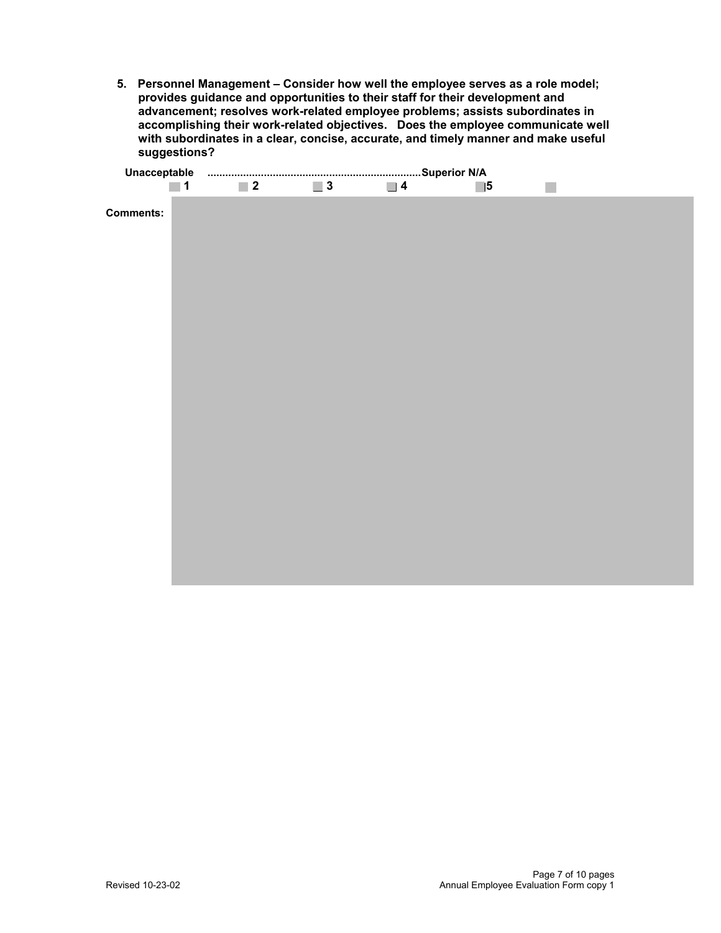**5. Personnel Management – Consider how well the employee serves as a role model; provides guidance and opportunities to their staff for their development and advancement; resolves work-related employee problems; assists subordinates in accomplishing their work-related objectives. Does the employee communicate well with subordinates in a clear, concise, accurate, and timely manner and make useful suggestions?** 

| $\blacksquare$ 1 | $\blacksquare$ 2 | $\Box$ 3 | $\Box$ 4 | $\Box$ 5 | $\mathbb{R}^n$ |  |
|------------------|------------------|----------|----------|----------|----------------|--|
| <b>Comments:</b> |                  |          |          |          |                |  |
|                  |                  |          |          |          |                |  |
|                  |                  |          |          |          |                |  |
|                  |                  |          |          |          |                |  |
|                  |                  |          |          |          |                |  |
|                  |                  |          |          |          |                |  |
|                  |                  |          |          |          |                |  |
|                  |                  |          |          |          |                |  |
|                  |                  |          |          |          |                |  |
|                  |                  |          |          |          |                |  |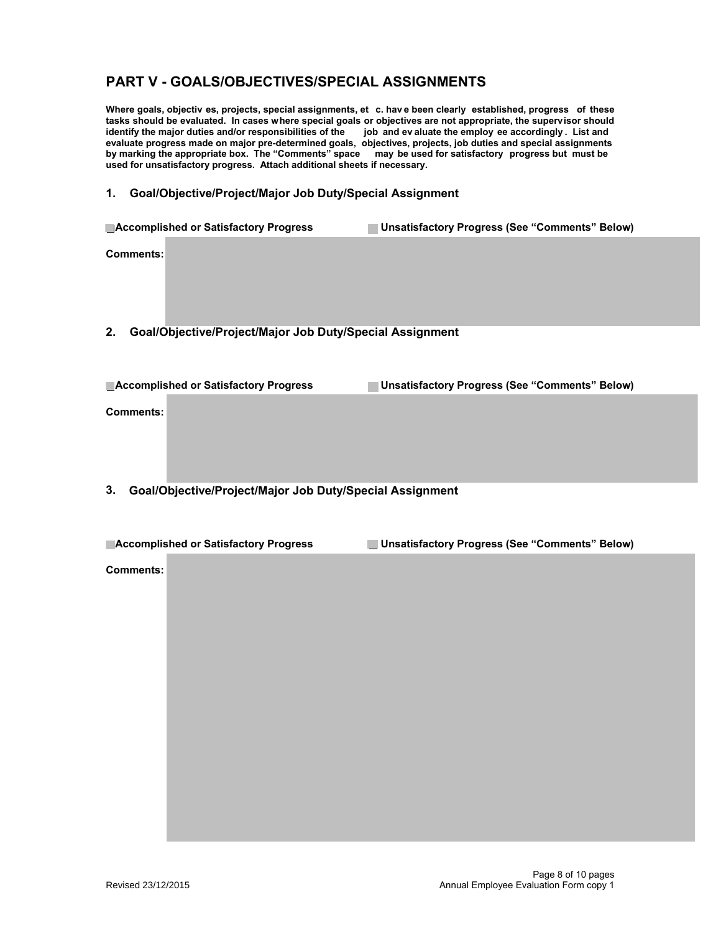# **PART V - GOALS/OBJECTIVES/SPECIAL ASSIGNMENTS**

**Where goals, objectiv es, projects, special assignments, et c. hav e been clearly established, progress of these tasks should be evaluated. In cases where special goals or objectives are not appropriate, the supervisor should identify the major duties and/or responsibilities of the job and ev aluate the employ ee accordingly . List and evaluate progress made on major pre-determined goals, objectives, projects, job duties and special assignments by marking the appropriate box. The "Comments" space may be used for satisfactory progress but must be used for unsatisfactory progress. Attach additional sheets if necessary.** 

#### **1. Goal/Objective/Project/Major Job Duty/Special Assignment**

|           | Accomplished or Satisfactory Progress                    | Unsatisfactory Progress (See "Comments" Below) |
|-----------|----------------------------------------------------------|------------------------------------------------|
| Comments: |                                                          |                                                |
|           |                                                          |                                                |
|           |                                                          |                                                |
| 2.        | Goal/Objective/Project/Major Job Duty/Special Assignment |                                                |

| <b>Accomplished or Satisfactory Progress</b>                       | <b>Unsatisfactory Progress (See "Comments" Below)</b> |
|--------------------------------------------------------------------|-------------------------------------------------------|
| Comments:                                                          |                                                       |
|                                                                    |                                                       |
| .<br>.<br>.<br>$\sim$<br>. .<br>$\overline{\phantom{a}}$<br>$\sim$ | .                                                     |

#### **3. Goal/Objective/Project/Major Job Duty/Special Assignment**

| <b>Accomplished or Satisfactory Progress</b> | Unsatisfactory Progress (See "Comments" Below) |
|----------------------------------------------|------------------------------------------------|
|----------------------------------------------|------------------------------------------------|

**Comments:**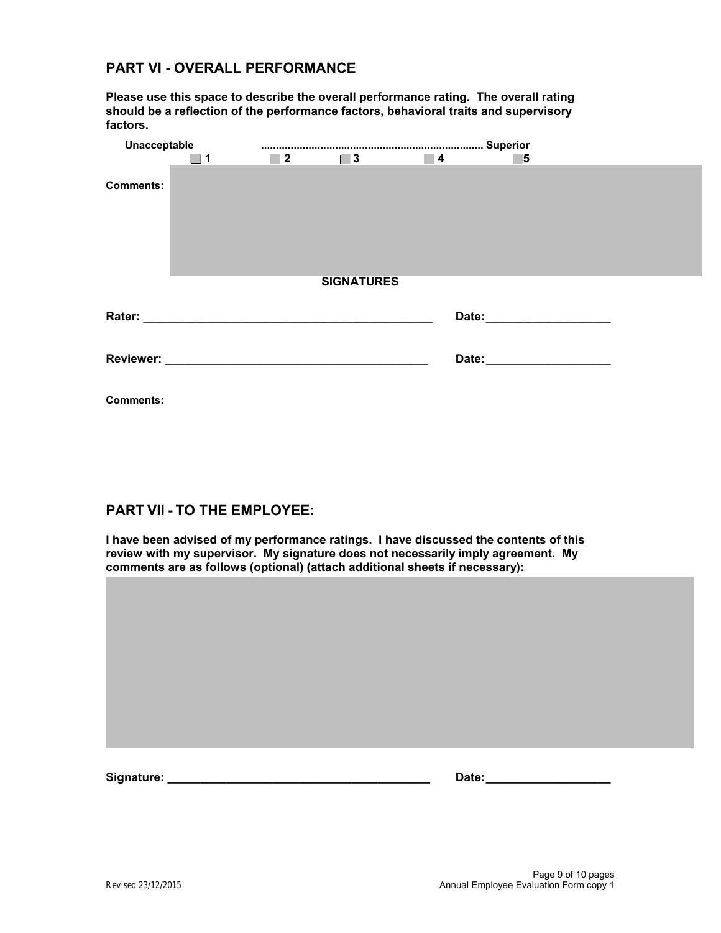# **PART VI - OVERALL PERFORMANCE**

**Please use this space to describe the overall performance rating. The overall rating should be a reflection of the performance factors, behavioral traits and supervisory factors.** 

| Unacceptable     |                  |                  |                   |                  |                                                                                                                                                                                                                                      |  |
|------------------|------------------|------------------|-------------------|------------------|--------------------------------------------------------------------------------------------------------------------------------------------------------------------------------------------------------------------------------------|--|
|                  | $\blacksquare$ 1 | $\blacksquare$ 2 | $\vert$ 3         | $\blacksquare$ 4 | 5                                                                                                                                                                                                                                    |  |
| <b>Comments:</b> |                  |                  |                   |                  |                                                                                                                                                                                                                                      |  |
|                  |                  |                  | <b>SIGNATURES</b> |                  |                                                                                                                                                                                                                                      |  |
|                  |                  |                  |                   |                  | Date: <u>Date: Expression and the set of the set of the set of the set of the set of the set of the set of the set of the set of the set of the set of the set of the set of the set of the set of the set of the set of the set</u> |  |
|                  |                  |                  |                   |                  | Date: _________________________                                                                                                                                                                                                      |  |
| <b>Comments:</b> |                  |                  |                   |                  |                                                                                                                                                                                                                                      |  |

### **PART VII - TO THE EMPLOYEE:**

**I have been advised of my performance ratings. I have discussed the contents of this review with my supervisor. My signature does not necessarily imply agreement. My** 

| comments are as follows (optional) (attach additional sheets if necessary): |  |  |  |  |
|-----------------------------------------------------------------------------|--|--|--|--|
|                                                                             |  |  |  |  |
|                                                                             |  |  |  |  |
|                                                                             |  |  |  |  |
|                                                                             |  |  |  |  |
|                                                                             |  |  |  |  |
|                                                                             |  |  |  |  |
|                                                                             |  |  |  |  |
|                                                                             |  |  |  |  |
|                                                                             |  |  |  |  |
|                                                                             |  |  |  |  |
|                                                                             |  |  |  |  |
|                                                                             |  |  |  |  |